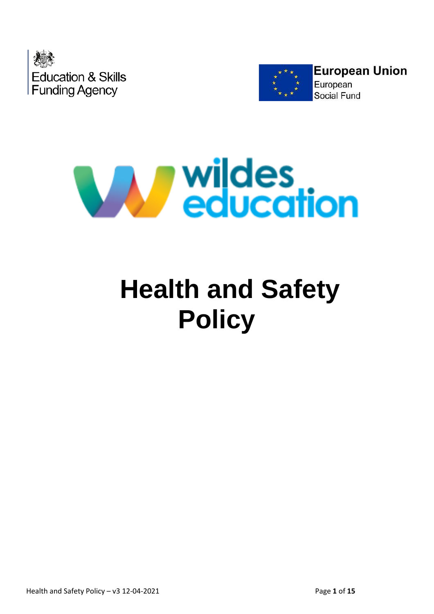





# **Health and Safety Policy**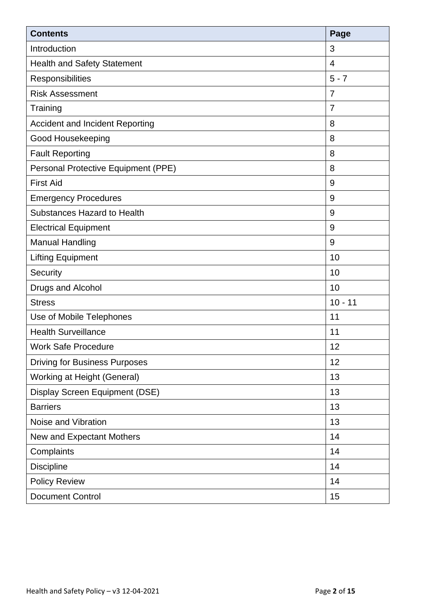| <b>Contents</b>                        | Page           |
|----------------------------------------|----------------|
| Introduction                           | 3              |
| <b>Health and Safety Statement</b>     | $\overline{4}$ |
| Responsibilities                       | $5 - 7$        |
| <b>Risk Assessment</b>                 | $\overline{7}$ |
| Training                               | $\overline{7}$ |
| <b>Accident and Incident Reporting</b> | 8              |
| Good Housekeeping                      | 8              |
| <b>Fault Reporting</b>                 | 8              |
| Personal Protective Equipment (PPE)    | 8              |
| <b>First Aid</b>                       | 9              |
| <b>Emergency Procedures</b>            | $9\,$          |
| <b>Substances Hazard to Health</b>     | 9              |
| <b>Electrical Equipment</b>            | 9              |
| <b>Manual Handling</b>                 | 9              |
| <b>Lifting Equipment</b>               | 10             |
| Security                               | 10             |
| Drugs and Alcohol                      | 10             |
| <b>Stress</b>                          | $10 - 11$      |
| Use of Mobile Telephones               | 11             |
| <b>Health Surveillance</b>             | 11             |
| <b>Work Safe Procedure</b>             | 12             |
| <b>Driving for Business Purposes</b>   | 12             |
| Working at Height (General)            | 13             |
| Display Screen Equipment (DSE)         | 13             |
| <b>Barriers</b>                        | 13             |
| Noise and Vibration                    | 13             |
| New and Expectant Mothers              | 14             |
| Complaints                             | 14             |
| <b>Discipline</b>                      | 14             |
| <b>Policy Review</b>                   | 14             |
| <b>Document Control</b>                | 15             |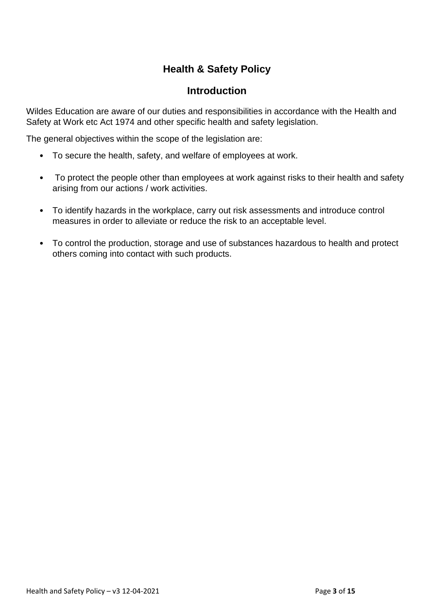## **Health & Safety Policy**

#### **Introduction**

Wildes Education are aware of our duties and responsibilities in accordance with the Health and Safety at Work etc Act 1974 and other specific health and safety legislation.

The general objectives within the scope of the legislation are:

- To secure the health, safety, and welfare of employees at work.
- To protect the people other than employees at work against risks to their health and safety arising from our actions / work activities.
- To identify hazards in the workplace, carry out risk assessments and introduce control measures in order to alleviate or reduce the risk to an acceptable level.
- To control the production, storage and use of substances hazardous to health and protect others coming into contact with such products.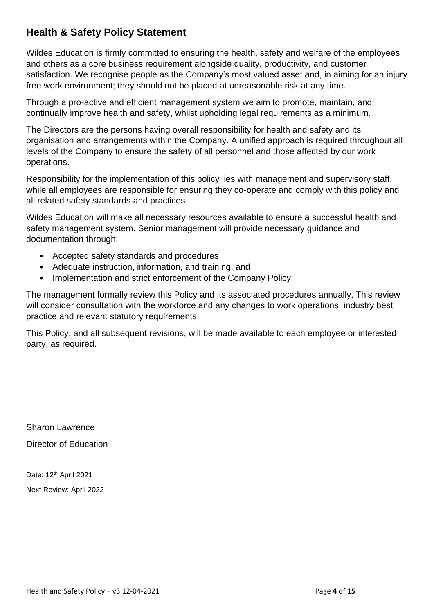## **Health & Safety Policy Statement**

Wildes Education is firmly committed to ensuring the health, safety and welfare of the employees and others as a core business requirement alongside quality, productivity, and customer satisfaction. We recognise people as the Company's most valued asset and, in aiming for an injury free work environment; they should not be placed at unreasonable risk at any time.

Through a pro-active and efficient management system we aim to promote, maintain, and continually improve health and safety, whilst upholding legal requirements as a minimum.

The Directors are the persons having overall responsibility for health and safety and its organisation and arrangements within the Company. A unified approach is required throughout all levels of the Company to ensure the safety of all personnel and those affected by our work operations.

Responsibility for the implementation of this policy lies with management and supervisory staff, while all employees are responsible for ensuring they co-operate and comply with this policy and all related safety standards and practices.

Wildes Education will make all necessary resources available to ensure a successful health and safety management system. Senior management will provide necessary guidance and documentation through:

- Accepted safety standards and procedures
- Adequate instruction, information, and training, and
- Implementation and strict enforcement of the Company Policy

The management formally review this Policy and its associated procedures annually. This review will consider consultation with the workforce and any changes to work operations, industry best practice and relevant statutory requirements.

This Policy, and all subsequent revisions, will be made available to each employee or interested party, as required.

Sharon Lawrence Director of Education

Date: 12<sup>th</sup> April 2021 Next Review: April 2022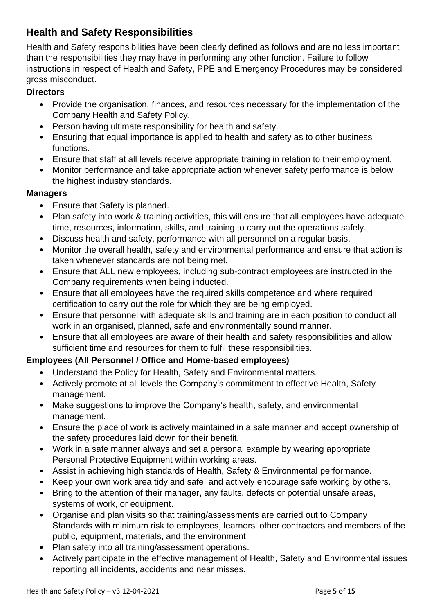## **Health and Safety Responsibilities**

Health and Safety responsibilities have been clearly defined as follows and are no less important than the responsibilities they may have in performing any other function. Failure to follow instructions in respect of Health and Safety, PPE and Emergency Procedures may be considered gross misconduct.

#### **Directors**

- Provide the organisation, finances, and resources necessary for the implementation of the Company Health and Safety Policy.
- Person having ultimate responsibility for health and safety.
- Ensuring that equal importance is applied to health and safety as to other business functions.
- Ensure that staff at all levels receive appropriate training in relation to their employment.
- Monitor performance and take appropriate action whenever safety performance is below the highest industry standards.

#### **Managers**

- Ensure that Safety is planned.
- Plan safety into work & training activities, this will ensure that all employees have adequate time, resources, information, skills, and training to carry out the operations safely.
- Discuss health and safety, performance with all personnel on a regular basis.
- Monitor the overall health, safety and environmental performance and ensure that action is taken whenever standards are not being met.
- Ensure that ALL new employees, including sub-contract employees are instructed in the Company requirements when being inducted.
- Ensure that all employees have the required skills competence and where required certification to carry out the role for which they are being employed.
- Ensure that personnel with adequate skills and training are in each position to conduct all work in an organised, planned, safe and environmentally sound manner.
- Ensure that all employees are aware of their health and safety responsibilities and allow sufficient time and resources for them to fulfil these responsibilities.

#### **Employees (All Personnel / Office and Home-based employees)**

- Understand the Policy for Health, Safety and Environmental matters.
- Actively promote at all levels the Company's commitment to effective Health, Safety management.
- Make suggestions to improve the Company's health, safety, and environmental management.
- Ensure the place of work is actively maintained in a safe manner and accept ownership of the safety procedures laid down for their benefit.
- Work in a safe manner always and set a personal example by wearing appropriate Personal Protective Equipment within working areas.
- Assist in achieving high standards of Health, Safety & Environmental performance.
- Keep your own work area tidy and safe, and actively encourage safe working by others.
- Bring to the attention of their manager, any faults, defects or potential unsafe areas, systems of work, or equipment.
- Organise and plan visits so that training/assessments are carried out to Company Standards with minimum risk to employees, learners' other contractors and members of the public, equipment, materials, and the environment.
- Plan safety into all training/assessment operations.
- Actively participate in the effective management of Health, Safety and Environmental issues reporting all incidents, accidents and near misses.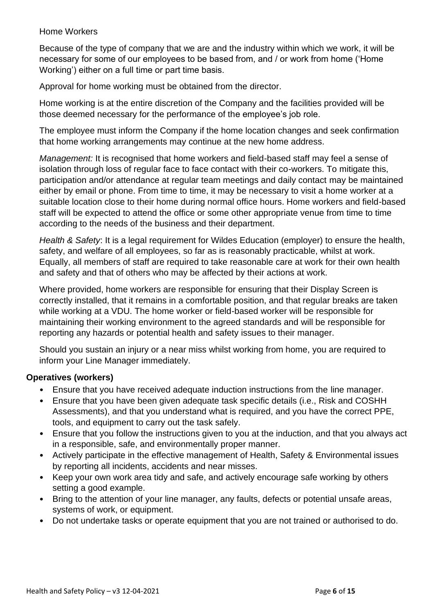#### Home Workers

Because of the type of company that we are and the industry within which we work, it will be necessary for some of our employees to be based from, and / or work from home ('Home Working') either on a full time or part time basis.

Approval for home working must be obtained from the director.

Home working is at the entire discretion of the Company and the facilities provided will be those deemed necessary for the performance of the employee's job role.

The employee must inform the Company if the home location changes and seek confirmation that home working arrangements may continue at the new home address.

*Management:* It is recognised that home workers and field-based staff may feel a sense of isolation through loss of regular face to face contact with their co-workers. To mitigate this, participation and/or attendance at regular team meetings and daily contact may be maintained either by email or phone. From time to time, it may be necessary to visit a home worker at a suitable location close to their home during normal office hours. Home workers and field-based staff will be expected to attend the office or some other appropriate venue from time to time according to the needs of the business and their department.

*Health & Safety*: It is a legal requirement for Wildes Education (employer) to ensure the health, safety, and welfare of all employees, so far as is reasonably practicable, whilst at work. Equally, all members of staff are required to take reasonable care at work for their own health and safety and that of others who may be affected by their actions at work.

Where provided, home workers are responsible for ensuring that their Display Screen is correctly installed, that it remains in a comfortable position, and that regular breaks are taken while working at a VDU. The home worker or field-based worker will be responsible for maintaining their working environment to the agreed standards and will be responsible for reporting any hazards or potential health and safety issues to their manager.

Should you sustain an injury or a near miss whilst working from home, you are required to inform your Line Manager immediately.

#### **Operatives (workers)**

- Ensure that you have received adequate induction instructions from the line manager.
- Ensure that you have been given adequate task specific details (i.e., Risk and COSHH Assessments), and that you understand what is required, and you have the correct PPE, tools, and equipment to carry out the task safely.
- Ensure that you follow the instructions given to you at the induction, and that you always act in a responsible, safe, and environmentally proper manner.
- Actively participate in the effective management of Health, Safety & Environmental issues by reporting all incidents, accidents and near misses.
- Keep your own work area tidy and safe, and actively encourage safe working by others setting a good example.
- Bring to the attention of your line manager, any faults, defects or potential unsafe areas, systems of work, or equipment.
- Do not undertake tasks or operate equipment that you are not trained or authorised to do.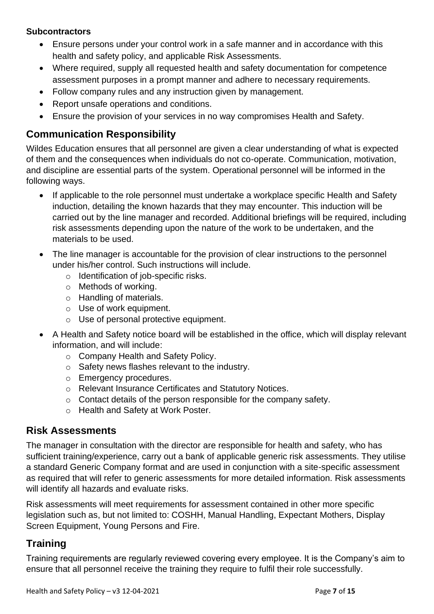#### **Subcontractors**

- Ensure persons under your control work in a safe manner and in accordance with this health and safety policy, and applicable Risk Assessments.
- Where required, supply all requested health and safety documentation for competence assessment purposes in a prompt manner and adhere to necessary requirements.
- Follow company rules and any instruction given by management.
- Report unsafe operations and conditions.
- Ensure the provision of your services in no way compromises Health and Safety.

#### **Communication Responsibility**

Wildes Education ensures that all personnel are given a clear understanding of what is expected of them and the consequences when individuals do not co-operate. Communication, motivation, and discipline are essential parts of the system. Operational personnel will be informed in the following ways.

- If applicable to the role personnel must undertake a workplace specific Health and Safety induction, detailing the known hazards that they may encounter. This induction will be carried out by the line manager and recorded. Additional briefings will be required, including risk assessments depending upon the nature of the work to be undertaken, and the materials to be used.
- The line manager is accountable for the provision of clear instructions to the personnel under his/her control. Such instructions will include.
	- o Identification of job-specific risks.
	- o Methods of working.
	- o Handling of materials.
	- o Use of work equipment.
	- o Use of personal protective equipment.
- A Health and Safety notice board will be established in the office, which will display relevant information, and will include:
	- o Company Health and Safety Policy.
	- o Safety news flashes relevant to the industry.
	- o Emergency procedures.
	- o Relevant Insurance Certificates and Statutory Notices.
	- o Contact details of the person responsible for the company safety.
	- o Health and Safety at Work Poster.

#### **Risk Assessments**

The manager in consultation with the director are responsible for health and safety, who has sufficient training/experience, carry out a bank of applicable generic risk assessments. They utilise a standard Generic Company format and are used in conjunction with a site-specific assessment as required that will refer to generic assessments for more detailed information. Risk assessments will identify all hazards and evaluate risks.

Risk assessments will meet requirements for assessment contained in other more specific legislation such as, but not limited to: COSHH, Manual Handling, Expectant Mothers, Display Screen Equipment, Young Persons and Fire.

## **Training**

Training requirements are regularly reviewed covering every employee. It is the Company's aim to ensure that all personnel receive the training they require to fulfil their role successfully.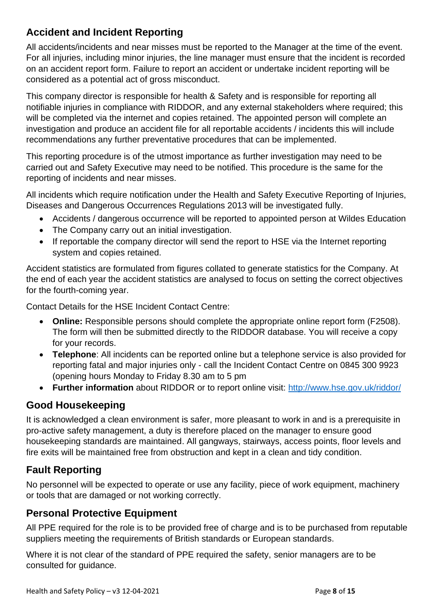## **Accident and Incident Reporting**

All accidents/incidents and near misses must be reported to the Manager at the time of the event. For all injuries, including minor injuries, the line manager must ensure that the incident is recorded on an accident report form. Failure to report an accident or undertake incident reporting will be considered as a potential act of gross misconduct.

This company director is responsible for health & Safety and is responsible for reporting all notifiable injuries in compliance with RIDDOR, and any external stakeholders where required; this will be completed via the internet and copies retained. The appointed person will complete an investigation and produce an accident file for all reportable accidents / incidents this will include recommendations any further preventative procedures that can be implemented.

This reporting procedure is of the utmost importance as further investigation may need to be carried out and Safety Executive may need to be notified. This procedure is the same for the reporting of incidents and near misses.

All incidents which require notification under the Health and Safety Executive Reporting of Injuries, Diseases and Dangerous Occurrences Regulations 2013 will be investigated fully.

- Accidents / dangerous occurrence will be reported to appointed person at Wildes Education
- The Company carry out an initial investigation.
- If reportable the company director will send the report to HSE via the Internet reporting system and copies retained.

Accident statistics are formulated from figures collated to generate statistics for the Company. At the end of each year the accident statistics are analysed to focus on setting the correct objectives for the fourth-coming year.

Contact Details for the HSE Incident Contact Centre:

- **Online:** Responsible persons should complete the appropriate online report form (F2508). The form will then be submitted directly to the RIDDOR database. You will receive a copy for your records.
- **Telephone**: All incidents can be reported online but a telephone service is also provided for reporting fatal and major injuries only - call the Incident Contact Centre on 0845 300 9923 (opening hours Monday to Friday 8.30 am to 5 pm
- **Further information** about RIDDOR or to report online visit:<http://www.hse.gov.uk/riddor/>

## **Good Housekeeping**

It is acknowledged a clean environment is safer, more pleasant to work in and is a prerequisite in pro-active safety management, a duty is therefore placed on the manager to ensure good housekeeping standards are maintained. All gangways, stairways, access points, floor levels and fire exits will be maintained free from obstruction and kept in a clean and tidy condition.

# **Fault Reporting**

No personnel will be expected to operate or use any facility, piece of work equipment, machinery or tools that are damaged or not working correctly.

#### **Personal Protective Equipment**

All PPE required for the role is to be provided free of charge and is to be purchased from reputable suppliers meeting the requirements of British standards or European standards.

Where it is not clear of the standard of PPE required the safety, senior managers are to be consulted for guidance.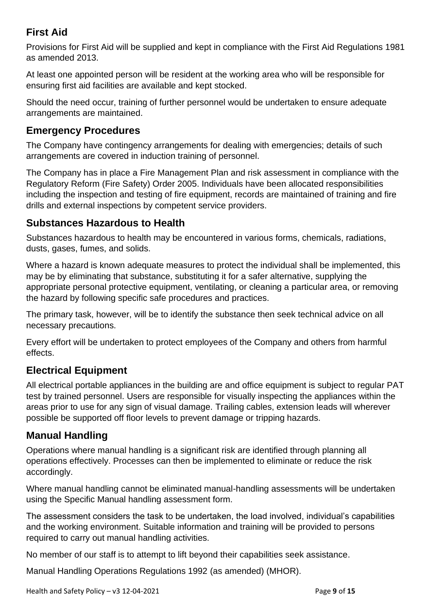## **First Aid**

Provisions for First Aid will be supplied and kept in compliance with the First Aid Regulations 1981 as amended 2013.

At least one appointed person will be resident at the working area who will be responsible for ensuring first aid facilities are available and kept stocked.

Should the need occur, training of further personnel would be undertaken to ensure adequate arrangements are maintained.

## **Emergency Procedures**

The Company have contingency arrangements for dealing with emergencies; details of such arrangements are covered in induction training of personnel.

The Company has in place a Fire Management Plan and risk assessment in compliance with the Regulatory Reform (Fire Safety) Order 2005. Individuals have been allocated responsibilities including the inspection and testing of fire equipment, records are maintained of training and fire drills and external inspections by competent service providers.

## **Substances Hazardous to Health**

Substances hazardous to health may be encountered in various forms, chemicals, radiations, dusts, gases, fumes, and solids.

Where a hazard is known adequate measures to protect the individual shall be implemented, this may be by eliminating that substance, substituting it for a safer alternative, supplying the appropriate personal protective equipment, ventilating, or cleaning a particular area, or removing the hazard by following specific safe procedures and practices.

The primary task, however, will be to identify the substance then seek technical advice on all necessary precautions.

Every effort will be undertaken to protect employees of the Company and others from harmful effects.

# **Electrical Equipment**

All electrical portable appliances in the building are and office equipment is subject to regular PAT test by trained personnel. Users are responsible for visually inspecting the appliances within the areas prior to use for any sign of visual damage. Trailing cables, extension leads will wherever possible be supported off floor levels to prevent damage or tripping hazards.

## **Manual Handling**

Operations where manual handling is a significant risk are identified through planning all operations effectively. Processes can then be implemented to eliminate or reduce the risk accordingly.

Where manual handling cannot be eliminated manual-handling assessments will be undertaken using the Specific Manual handling assessment form.

The assessment considers the task to be undertaken, the load involved, individual's capabilities and the working environment. Suitable information and training will be provided to persons required to carry out manual handling activities.

No member of our staff is to attempt to lift beyond their capabilities seek assistance.

Manual Handling Operations Regulations 1992 (as amended) (MHOR).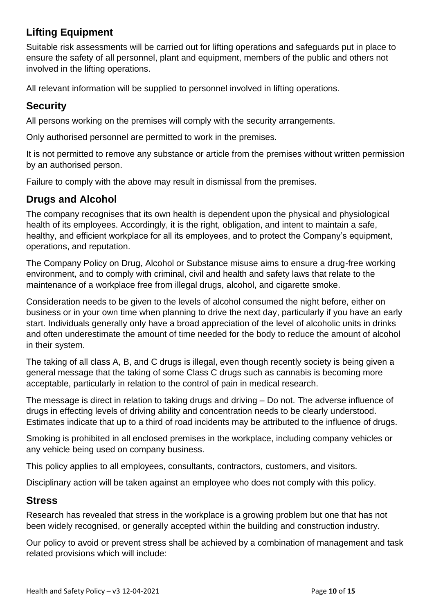## **Lifting Equipment**

Suitable risk assessments will be carried out for lifting operations and safeguards put in place to ensure the safety of all personnel, plant and equipment, members of the public and others not involved in the lifting operations.

All relevant information will be supplied to personnel involved in lifting operations.

## **Security**

All persons working on the premises will comply with the security arrangements.

Only authorised personnel are permitted to work in the premises.

It is not permitted to remove any substance or article from the premises without written permission by an authorised person.

Failure to comply with the above may result in dismissal from the premises.

## **Drugs and Alcohol**

The company recognises that its own health is dependent upon the physical and physiological health of its employees. Accordingly, it is the right, obligation, and intent to maintain a safe, healthy, and efficient workplace for all its employees, and to protect the Company's equipment, operations, and reputation.

The Company Policy on Drug, Alcohol or Substance misuse aims to ensure a drug-free working environment, and to comply with criminal, civil and health and safety laws that relate to the maintenance of a workplace free from illegal drugs, alcohol, and cigarette smoke.

Consideration needs to be given to the levels of alcohol consumed the night before, either on business or in your own time when planning to drive the next day, particularly if you have an early start. Individuals generally only have a broad appreciation of the level of alcoholic units in drinks and often underestimate the amount of time needed for the body to reduce the amount of alcohol in their system.

The taking of all class A, B, and C drugs is illegal, even though recently society is being given a general message that the taking of some Class C drugs such as cannabis is becoming more acceptable, particularly in relation to the control of pain in medical research.

The message is direct in relation to taking drugs and driving – Do not. The adverse influence of drugs in effecting levels of driving ability and concentration needs to be clearly understood. Estimates indicate that up to a third of road incidents may be attributed to the influence of drugs.

Smoking is prohibited in all enclosed premises in the workplace, including company vehicles or any vehicle being used on company business.

This policy applies to all employees, consultants, contractors, customers, and visitors.

Disciplinary action will be taken against an employee who does not comply with this policy.

#### **Stress**

Research has revealed that stress in the workplace is a growing problem but one that has not been widely recognised, or generally accepted within the building and construction industry.

Our policy to avoid or prevent stress shall be achieved by a combination of management and task related provisions which will include: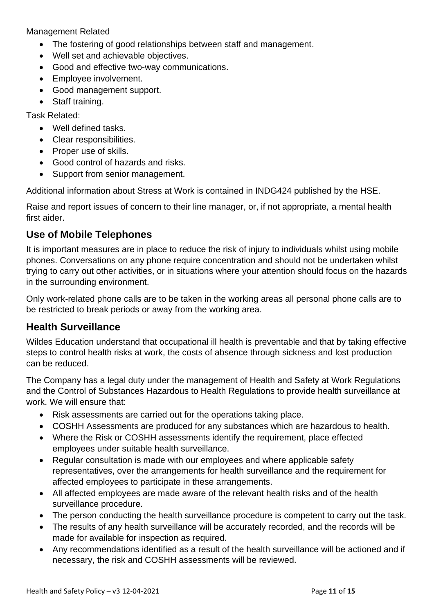Management Related

- The fostering of good relationships between staff and management.
- Well set and achievable objectives.
- Good and effective two-way communications.
- Employee involvement.
- Good management support.
- Staff training.

Task Related:

- Well defined tasks.
- Clear responsibilities.
- Proper use of skills.
- Good control of hazards and risks.
- Support from senior management.

Additional information about Stress at Work is contained in INDG424 published by the HSE.

Raise and report issues of concern to their line manager, or, if not appropriate, a mental health first aider.

#### **Use of Mobile Telephones**

It is important measures are in place to reduce the risk of injury to individuals whilst using mobile phones. Conversations on any phone require concentration and should not be undertaken whilst trying to carry out other activities, or in situations where your attention should focus on the hazards in the surrounding environment.

Only work-related phone calls are to be taken in the working areas all personal phone calls are to be restricted to break periods or away from the working area.

#### **Health Surveillance**

Wildes Education understand that occupational ill health is preventable and that by taking effective steps to control health risks at work, the costs of absence through sickness and lost production can be reduced.

The Company has a legal duty under the management of Health and Safety at Work Regulations and the Control of Substances Hazardous to Health Regulations to provide health surveillance at work. We will ensure that:

- Risk assessments are carried out for the operations taking place.
- COSHH Assessments are produced for any substances which are hazardous to health.
- Where the Risk or COSHH assessments identify the requirement, place effected employees under suitable health surveillance.
- Regular consultation is made with our employees and where applicable safety representatives, over the arrangements for health surveillance and the requirement for affected employees to participate in these arrangements.
- All affected employees are made aware of the relevant health risks and of the health surveillance procedure.
- The person conducting the health surveillance procedure is competent to carry out the task.
- The results of any health surveillance will be accurately recorded, and the records will be made for available for inspection as required.
- Any recommendations identified as a result of the health surveillance will be actioned and if necessary, the risk and COSHH assessments will be reviewed.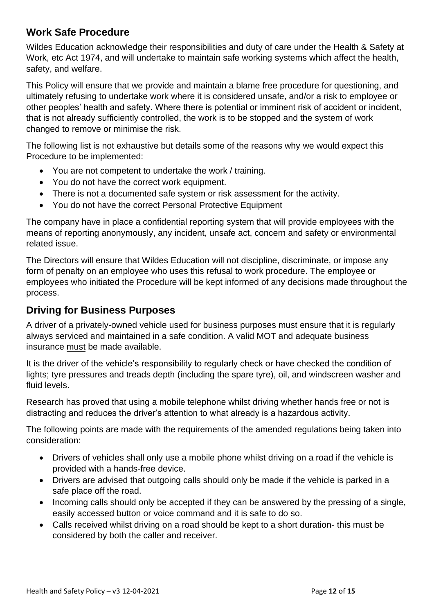#### **Work Safe Procedure**

Wildes Education acknowledge their responsibilities and duty of care under the Health & Safety at Work, etc Act 1974, and will undertake to maintain safe working systems which affect the health, safety, and welfare.

This Policy will ensure that we provide and maintain a blame free procedure for questioning, and ultimately refusing to undertake work where it is considered unsafe, and/or a risk to employee or other peoples' health and safety. Where there is potential or imminent risk of accident or incident, that is not already sufficiently controlled, the work is to be stopped and the system of work changed to remove or minimise the risk.

The following list is not exhaustive but details some of the reasons why we would expect this Procedure to be implemented:

- You are not competent to undertake the work / training.
- You do not have the correct work equipment.
- There is not a documented safe system or risk assessment for the activity.
- You do not have the correct Personal Protective Equipment

The company have in place a confidential reporting system that will provide employees with the means of reporting anonymously, any incident, unsafe act, concern and safety or environmental related issue.

The Directors will ensure that Wildes Education will not discipline, discriminate, or impose any form of penalty on an employee who uses this refusal to work procedure. The employee or employees who initiated the Procedure will be kept informed of any decisions made throughout the process.

#### **Driving for Business Purposes**

A driver of a privately-owned vehicle used for business purposes must ensure that it is regularly always serviced and maintained in a safe condition. A valid MOT and adequate business insurance must be made available.

It is the driver of the vehicle's responsibility to regularly check or have checked the condition of lights; tyre pressures and treads depth (including the spare tyre), oil, and windscreen washer and fluid levels.

Research has proved that using a mobile telephone whilst driving whether hands free or not is distracting and reduces the driver's attention to what already is a hazardous activity.

The following points are made with the requirements of the amended regulations being taken into consideration:

- Drivers of vehicles shall only use a mobile phone whilst driving on a road if the vehicle is provided with a hands-free device.
- Drivers are advised that outgoing calls should only be made if the vehicle is parked in a safe place off the road.
- Incoming calls should only be accepted if they can be answered by the pressing of a single, easily accessed button or voice command and it is safe to do so.
- Calls received whilst driving on a road should be kept to a short duration- this must be considered by both the caller and receiver.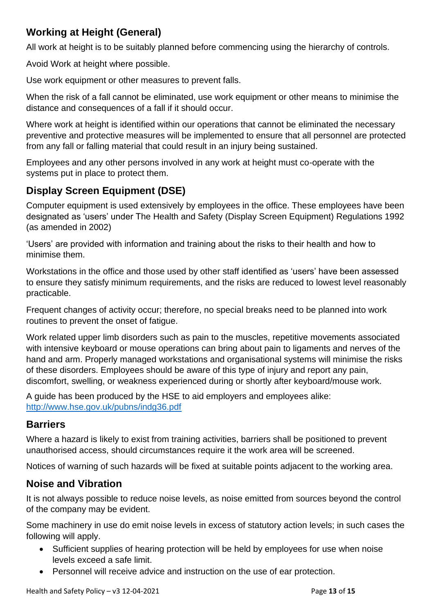## **Working at Height (General)**

All work at height is to be suitably planned before commencing using the hierarchy of controls.

Avoid Work at height where possible.

Use work equipment or other measures to prevent falls.

When the risk of a fall cannot be eliminated, use work equipment or other means to minimise the distance and consequences of a fall if it should occur.

Where work at height is identified within our operations that cannot be eliminated the necessary preventive and protective measures will be implemented to ensure that all personnel are protected from any fall or falling material that could result in an injury being sustained.

Employees and any other persons involved in any work at height must co-operate with the systems put in place to protect them.

# **Display Screen Equipment (DSE)**

Computer equipment is used extensively by employees in the office. These employees have been designated as 'users' under The Health and Safety (Display Screen Equipment) Regulations 1992 (as amended in 2002)

'Users' are provided with information and training about the risks to their health and how to minimise them.

Workstations in the office and those used by other staff identified as 'users' have been assessed to ensure they satisfy minimum requirements, and the risks are reduced to lowest level reasonably practicable.

Frequent changes of activity occur; therefore, no special breaks need to be planned into work routines to prevent the onset of fatigue.

Work related upper limb disorders such as pain to the muscles, repetitive movements associated with intensive keyboard or mouse operations can bring about pain to ligaments and nerves of the hand and arm. Properly managed workstations and organisational systems will minimise the risks of these disorders. Employees should be aware of this type of injury and report any pain, discomfort, swelling, or weakness experienced during or shortly after keyboard/mouse work.

A guide has been produced by the HSE to aid employers and employees alike: <http://www.hse.gov.uk/pubns/indg36.pdf>

#### **Barriers**

Where a hazard is likely to exist from training activities, barriers shall be positioned to prevent unauthorised access, should circumstances require it the work area will be screened.

Notices of warning of such hazards will be fixed at suitable points adjacent to the working area.

## **Noise and Vibration**

It is not always possible to reduce noise levels, as noise emitted from sources beyond the control of the company may be evident.

Some machinery in use do emit noise levels in excess of statutory action levels; in such cases the following will apply.

- Sufficient supplies of hearing protection will be held by employees for use when noise levels exceed a safe limit.
- Personnel will receive advice and instruction on the use of ear protection.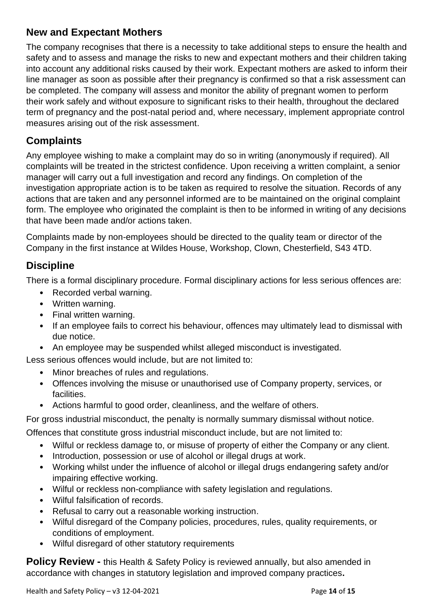## **New and Expectant Mothers**

The company recognises that there is a necessity to take additional steps to ensure the health and safety and to assess and manage the risks to new and expectant mothers and their children taking into account any additional risks caused by their work. Expectant mothers are asked to inform their line manager as soon as possible after their pregnancy is confirmed so that a risk assessment can be completed. The company will assess and monitor the ability of pregnant women to perform their work safely and without exposure to significant risks to their health, throughout the declared term of pregnancy and the post-natal period and, where necessary, implement appropriate control measures arising out of the risk assessment.

## **Complaints**

Any employee wishing to make a complaint may do so in writing (anonymously if required). All complaints will be treated in the strictest confidence. Upon receiving a written complaint, a senior manager will carry out a full investigation and record any findings. On completion of the investigation appropriate action is to be taken as required to resolve the situation. Records of any actions that are taken and any personnel informed are to be maintained on the original complaint form. The employee who originated the complaint is then to be informed in writing of any decisions that have been made and/or actions taken.

Complaints made by non-employees should be directed to the quality team or director of the Company in the first instance at Wildes House, Workshop, Clown, Chesterfield, S43 4TD.

#### **Discipline**

There is a formal disciplinary procedure. Formal disciplinary actions for less serious offences are:

- Recorded verbal warning.
- Written warning.
- Final written warning.
- If an employee fails to correct his behaviour, offences may ultimately lead to dismissal with due notice.
- An employee may be suspended whilst alleged misconduct is investigated.

Less serious offences would include, but are not limited to:

- Minor breaches of rules and regulations.
- Offences involving the misuse or unauthorised use of Company property, services, or facilities.
- Actions harmful to good order, cleanliness, and the welfare of others.

For gross industrial misconduct, the penalty is normally summary dismissal without notice.

Offences that constitute gross industrial misconduct include, but are not limited to:

- Wilful or reckless damage to, or misuse of property of either the Company or any client.
- Introduction, possession or use of alcohol or illegal drugs at work.
- Working whilst under the influence of alcohol or illegal drugs endangering safety and/or impairing effective working.
- Wilful or reckless non-compliance with safety legislation and regulations.
- Wilful falsification of records.
- Refusal to carry out a reasonable working instruction.
- Wilful disregard of the Company policies, procedures, rules, quality requirements, or conditions of employment.
- Wilful disregard of other statutory requirements

**Policy Review -** this Health & Safety Policy is reviewed annually, but also amended in accordance with changes in statutory legislation and improved company practices**.**